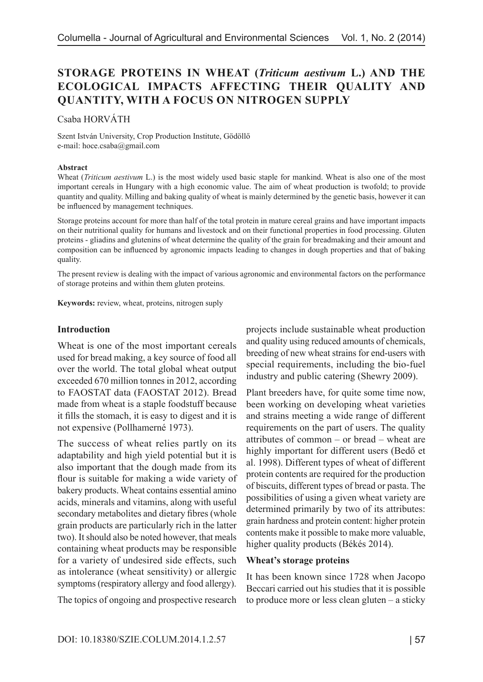# **STORAGE PROTEINS IN WHEAT (***Triticum aestivum* **L.) AND THE ECOLOGICAL IMPACTS AFFECTING THEIR QUALITY AND QUANTITY, WITH A FOCUS ON NITROGEN SUPPLY**

Csaba HORVÁTH

Szent István University, Crop Production Institute, Gödöllő e-mail: hoce.csaba@gmail.com

#### **Abstract**

Wheat (*Triticum aestivum* L.) is the most widely used basic staple for mankind. Wheat is also one of the most important cereals in Hungary with a high economic value. The aim of wheat production is twofold; to provide quantity and quality. Milling and baking quality of wheat is mainly determined by the genetic basis, however it can be influenced by management techniques.

Storage proteins account for more than half of the total protein in mature cereal grains and have important impacts on their nutritional quality for humans and livestock and on their functional properties in food processing. Gluten proteins - gliadins and glutenins of wheat determine the quality of the grain for breadmaking and their amount and composition can be influenced by agronomic impacts leading to changes in dough properties and that of baking quality.

The present review is dealing with the impact of various agronomic and environmental factors on the performance of storage proteins and within them gluten proteins.

**Keywords:** review, wheat, proteins, nitrogen suply

#### **Introduction**

Wheat is one of the most important cereals used for bread making, a key source of food all over the world. The total global wheat output exceeded 670 million tonnes in 2012, according to FAOSTAT data (FAOSTAT 2012). Bread made from wheat is a staple foodstuff because it fills the stomach, it is easy to digest and it is not expensive (Pollhamerné 1973).

The success of wheat relies partly on its adaptability and high yield potential but it is also important that the dough made from its flour is suitable for making a wide variety of bakery products. Wheat contains essential amino acids, minerals and vitamins, along with useful secondary metabolites and dietary fibres (whole grain products are particularly rich in the latter two). It should also be noted however, that meals containing wheat products may be responsible for a variety of undesired side effects, such as intolerance (wheat sensitivity) or allergic symptoms (respiratory allergy and food allergy).

The topics of ongoing and prospective research

projects include sustainable wheat production and quality using reduced amounts of chemicals, breeding of new wheat strains for end-users with special requirements, including the bio-fuel industry and public catering (Shewry 2009).

Plant breeders have, for quite some time now, been working on developing wheat varieties and strains meeting a wide range of different requirements on the part of users. The quality attributes of common – or bread – wheat are highly important for different users (Bedő et al. 1998). Different types of wheat of different protein contents are required for the production of biscuits, different types of bread or pasta. The possibilities of using a given wheat variety are determined primarily by two of its attributes: grain hardness and protein content: higher protein contents make it possible to make more valuable, higher quality products (Békés 2014).

#### **Wheat's storage proteins**

It has been known since 1728 when Jacopo Beccari carried out his studies that it is possible to produce more or less clean gluten – a sticky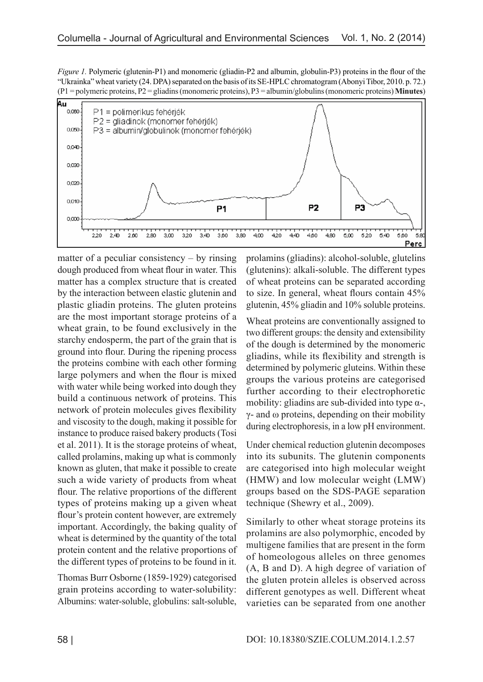*Figure 1.* Polymeric (glutenin-P1) and monomeric (gliadin-P2 and albumin, globulin-P3) proteins in the flour of the "Ukrainka" wheat variety (24. DPA) separated on the basis of its SE-HPLC chromatogram (Abonyi Tibor, 2010. p. 72.) (P1 = polymeric proteins, P2 = gliadins (monomeric proteins), P3 = albumin/globulins (monomeric proteins) **Minutes**)



matter of a peculiar consistency – by rinsing dough produced from wheat flour in water. This matter has a complex structure that is created by the interaction between elastic glutenin and plastic gliadin proteins. The gluten proteins are the most important storage proteins of a wheat grain, to be found exclusively in the starchy endosperm, the part of the grain that is ground into flour. During the ripening process the proteins combine with each other forming large polymers and when the flour is mixed with water while being worked into dough they build a continuous network of proteins. This network of protein molecules gives flexibility and viscosity to the dough, making it possible for instance to produce raised bakery products (Tosi et al. 2011). It is the storage proteins of wheat, called prolamins, making up what is commonly known as gluten, that make it possible to create such a wide variety of products from wheat flour. The relative proportions of the different types of proteins making up a given wheat flour's protein content however, are extremely important. Accordingly, the baking quality of wheat is determined by the quantity of the total protein content and the relative proportions of the different types of proteins to be found in it.

Thomas Burr Osborne (1859-1929) categorised grain proteins according to water-solubility: Albumins: water-soluble, globulins: salt-soluble, prolamins (gliadins): alcohol-soluble, glutelins (glutenins): alkali-soluble. The different types of wheat proteins can be separated according to size. In general, wheat flours contain 45% glutenin, 45% gliadin and 10% soluble proteins.

Wheat proteins are conventionally assigned to two different groups: the density and extensibility of the dough is determined by the monomeric gliadins, while its flexibility and strength is determined by polymeric gluteins. Within these groups the various proteins are categorised further according to their electrophoretic mobility: gliadins are sub-divided into type  $\alpha$ -,  $γ$ - and ω proteins, depending on their mobility during electrophoresis, in a low pH environment.

Under chemical reduction glutenin decomposes into its subunits. The glutenin components are categorised into high molecular weight (HMW) and low molecular weight (LMW) groups based on the SDS-PAGE separation technique (Shewry et al., 2009).

Similarly to other wheat storage proteins its prolamins are also polymorphic, encoded by multigene families that are present in the form of homeologous alleles on three genomes (A, B and D). A high degree of variation of the gluten protein alleles is observed across different genotypes as well. Different wheat varieties can be separated from one another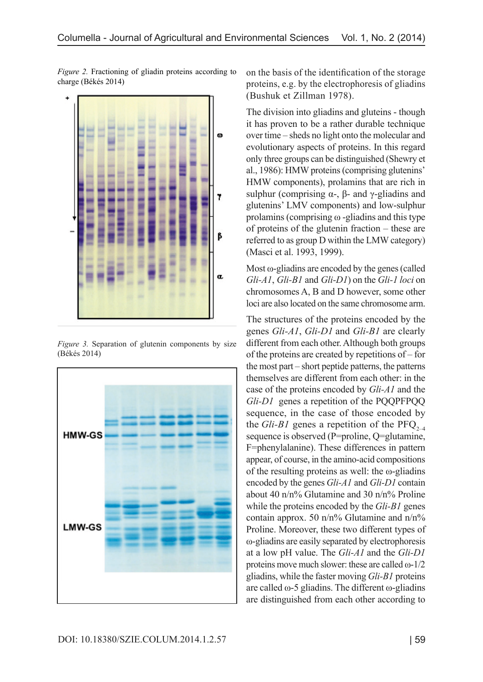*Figure 2.* Fractioning of gliadin proteins according to charge (Békés 2014)



*Figure 3.* Separation of glutenin components by size (Békés 2014)



on the basis of the identification of the storage proteins, e.g. by the electrophoresis of gliadins (Bushuk et Zillman 1978).

The division into gliadins and gluteins - though it has proven to be a rather durable technique over time – sheds no light onto the molecular and evolutionary aspects of proteins. In this regard only three groups can be distinguished (Shewry et al., 1986): HMW proteins (comprising glutenins' HMW components), prolamins that are rich in sulphur (comprising  $\alpha$ -, β- and γ-gliadins and glutenins' LMV components) and low-sulphur prolamins (comprising  $\omega$  -gliadins and this type of proteins of the glutenin fraction – these are referred to as group D within the LMW category) (Masci et al. 1993, 1999).

Most ω-gliadins are encoded by the genes (called *Gli-A1*, *Gli-B1* and *Gli-D1*) on the *Gli-1 loci* on chromosomes A, B and D however, some other loci are also located on the same chromosome arm.

The structures of the proteins encoded by the genes *Gli-A1*, *Gli-D1* and *Gli-B1* are clearly different from each other. Although both groups of the proteins are created by repetitions of – for the most part – short peptide patterns, the patterns themselves are different from each other: in the case of the proteins encoded by *Gli-A1* and the *Gli-D1* genes a repetition of the PQQPFPQQ sequence, in the case of those encoded by the *Gli-B1* genes a repetition of the  $PFC_{2-4}$ sequence is observed (P=proline, Q=glutamine, F=phenylalanine). These differences in pattern appear, of course, in the amino-acid compositions of the resulting proteins as well: the ω-gliadins encoded by the genes *Gli-A1* and *Gli-D1* contain about 40 n/n% Glutamine and 30 n/n% Proline while the proteins encoded by the *Gli-B1* genes contain approx. 50  $n/n%$  Glutamine and  $n/n%$ Proline. Moreover, these two different types of ω-gliadins are easily separated by electrophoresis at a low pH value. The *Gli-A1* and the *Gli-D1* proteins move much slower: these are called  $\omega$ -1/2 gliadins, while the faster moving *Gli-B1* proteins are called ω-5 gliadins. The different ω-gliadins are distinguished from each other according to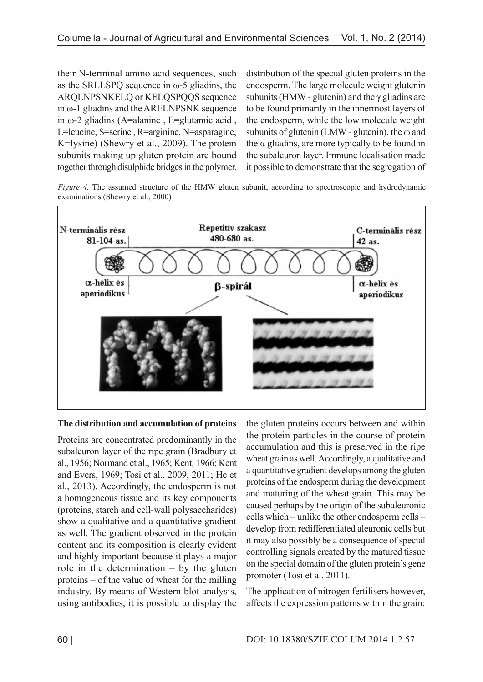their N-terminal amino acid sequences, such as the SRLLSPQ sequence in ω-5 gliadins, the ARQLNPSNKELQ or KELQSPQQS sequence in ω-1 gliadins and the ARELNPSNK sequence in ω-2 gliadins (A=alanine , E=glutamic acid , L=leucine, S=serine , R=arginine, N=asparagine, K=lysine) (Shewry et al., 2009). The protein subunits making up gluten protein are bound together through disulphide bridges in the polymer.

distribution of the special gluten proteins in the endosperm. The large molecule weight glutenin subunits (HMW - glutenin) and the  $\gamma$  gliadins are to be found primarily in the innermost layers of the endosperm, while the low molecule weight subunits of glutenin (LMW - glutenin), the  $\omega$  and the  $\alpha$  gliadins, are more typically to be found in the subaleuron layer. Immune localisation made it possible to demonstrate that the segregation of

*Figure 4.* The assumed structure of the HMW gluten subunit, according to spectroscopic and hydrodynamic examinations (Shewry et al., 2000)



#### **The distribution and accumulation of proteins**

Proteins are concentrated predominantly in the subaleuron layer of the ripe grain (Bradbury et al., 1956; Normand et al., 1965; Kent, 1966; Kent and Evers, 1969; Tosi et al., 2009, 2011; He et al., 2013). Accordingly, the endosperm is not a homogeneous tissue and its key components (proteins, starch and cell-wall polysaccharides) show a qualitative and a quantitative gradient as well. The gradient observed in the protein content and its composition is clearly evident and highly important because it plays a major role in the determination – by the gluten proteins – of the value of wheat for the milling industry. By means of Western blot analysis, using antibodies, it is possible to display the

the gluten proteins occurs between and within the protein particles in the course of protein accumulation and this is preserved in the ripe wheat grain as well. Accordingly, a qualitative and a quantitative gradient develops among the gluten proteins of the endosperm during the development and maturing of the wheat grain. This may be caused perhaps by the origin of the subaleuronic cells which – unlike the other endosperm cells – develop from redifferentiated aleuronic cells but it may also possibly be a consequence of special controlling signals created by the matured tissue on the special domain of the gluten protein's gene promoter (Tosi et al. 2011).

The application of nitrogen fertilisers however, affects the expression patterns within the grain: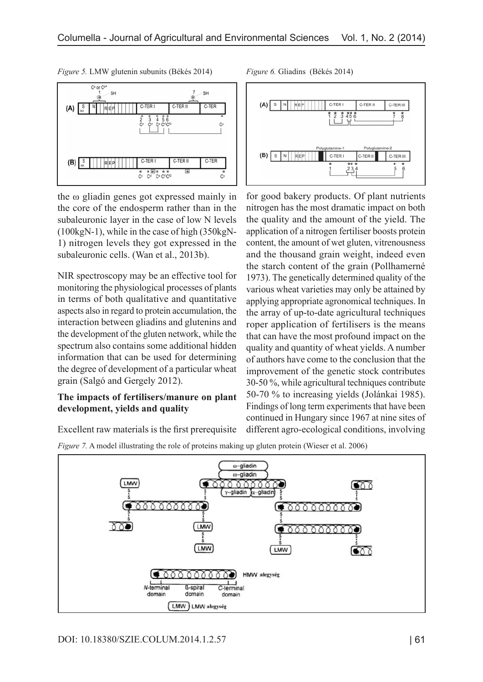

*Figure 5.* LMW glutenin subunits (Békés 2014) *Figure 6.* Gliadins (Békés 2014)

the ω gliadin genes got expressed mainly in the core of the endosperm rather than in the subaleuronic layer in the case of low N levels (100kgN-1), while in the case of high (350kgN-1) nitrogen levels they got expressed in the subaleuronic cells. (Wan et al., 2013b).

NIR spectroscopy may be an effective tool for monitoring the physiological processes of plants in terms of both qualitative and quantitative aspects also in regard to protein accumulation, the interaction between gliadins and glutenins and the development of the gluten network, while the spectrum also contains some additional hidden information that can be used for determining the degree of development of a particular wheat grain (Salgó and Gergely 2012).

### **The impacts of fertilisers/manure on plant development, yields and quality**

Excellent raw materials is the first prerequisite



for good bakery products. Of plant nutrients nitrogen has the most dramatic impact on both the quality and the amount of the yield. The application of a nitrogen fertiliser boosts protein content, the amount of wet gluten, vitrenousness and the thousand grain weight, indeed even the starch content of the grain (Pollhamerné 1973). The genetically determined quality of the various wheat varieties may only be attained by applying appropriate agronomical techniques. In the array of up-to-date agricultural techniques roper application of fertilisers is the means that can have the most profound impact on the quality and quantity of wheat yields. A number of authors have come to the conclusion that the improvement of the genetic stock contributes 30-50 %, while agricultural techniques contribute 50-70 % to increasing yields (Jolánkai 1985). Findings of long term experiments that have been continued in Hungary since 1967 at nine sites of different agro-ecological conditions, involving

*Figure 7.* A model illustrating the role of proteins making up gluten protein (Wieser et al. 2006)

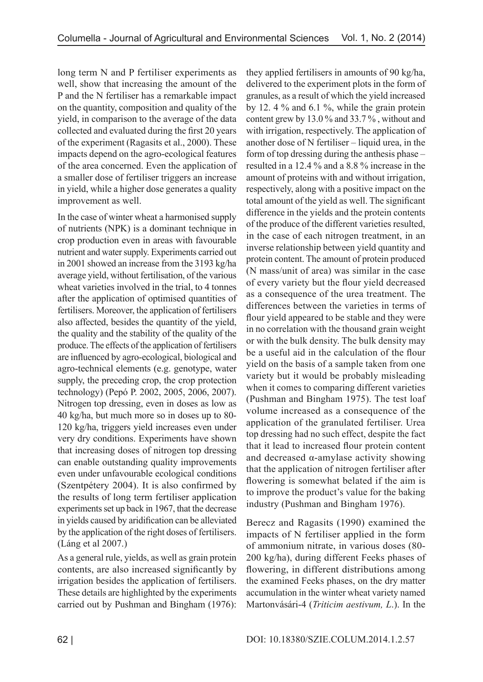long term N and P fertiliser experiments as well, show that increasing the amount of the P and the N fertiliser has a remarkable impact on the quantity, composition and quality of the yield, in comparison to the average of the data collected and evaluated during the first 20 years of the experiment (Ragasits et al., 2000). These impacts depend on the agro-ecological features of the area concerned. Even the application of a smaller dose of fertiliser triggers an increase in yield, while a higher dose generates a quality improvement as well.

In the case of winter wheat a harmonised supply of nutrients (NPK) is a dominant technique in crop production even in areas with favourable nutrient and water supply. Experiments carried out in 2001 showed an increase from the 3193 kg/ha average yield, without fertilisation, of the various wheat varieties involved in the trial, to 4 tonnes after the application of optimised quantities of fertilisers. Moreover, the application of fertilisers also affected, besides the quantity of the yield, the quality and the stability of the quality of the produce. The effects of the application of fertilisers are influenced by agro-ecological, biological and agro-technical elements (e.g. genotype, water supply, the preceding crop, the crop protection technology) (Pepó P. 2002, 2005, 2006, 2007). Nitrogen top dressing, even in doses as low as 40 kg/ha, but much more so in doses up to 80- 120 kg/ha, triggers yield increases even under very dry conditions. Experiments have shown that increasing doses of nitrogen top dressing can enable outstanding quality improvements even under unfavourable ecological conditions (Szentpétery 2004). It is also confirmed by the results of long term fertiliser application experiments set up back in 1967, that the decrease in yields caused by aridification can be alleviated by the application of the right doses of fertilisers. (Láng et al 2007.)

As a general rule, yields, as well as grain protein contents, are also increased significantly by irrigation besides the application of fertilisers. These details are highlighted by the experiments carried out by Pushman and Bingham (1976):

they applied fertilisers in amounts of 90 kg/ha, delivered to the experiment plots in the form of granules, as a result of which the yield increased by 12. 4 % and 6.1 %, while the grain protein content grew by 13.0 % and 33.7 % , without and with irrigation, respectively. The application of another dose of N fertiliser – liquid urea, in the form of top dressing during the anthesis phase – resulted in a 12.4 % and a 8.8 % increase in the amount of proteins with and without irrigation, respectively, along with a positive impact on the total amount of the yield as well. The significant difference in the yields and the protein contents of the produce of the different varieties resulted, in the case of each nitrogen treatment, in an inverse relationship between yield quantity and protein content. The amount of protein produced (N mass/unit of area) was similar in the case of every variety but the flour yield decreased as a consequence of the urea treatment. The differences between the varieties in terms of flour yield appeared to be stable and they were in no correlation with the thousand grain weight or with the bulk density. The bulk density may be a useful aid in the calculation of the flour yield on the basis of a sample taken from one variety but it would be probably misleading when it comes to comparing different varieties (Pushman and Bingham 1975). The test loaf volume increased as a consequence of the application of the granulated fertiliser. Urea top dressing had no such effect, despite the fact that it lead to increased flour protein content and decreased  $\alpha$ -amylase activity showing that the application of nitrogen fertiliser after flowering is somewhat belated if the aim is to improve the product's value for the baking industry (Pushman and Bingham 1976).

Berecz and Ragasits (1990) examined the impacts of N fertiliser applied in the form of ammonium nitrate, in various doses (80- 200 kg/ha), during different Feeks phases of flowering, in different distributions among the examined Feeks phases, on the dry matter accumulation in the winter wheat variety named Martonvásári-4 (*Triticim aestivum, L*.). In the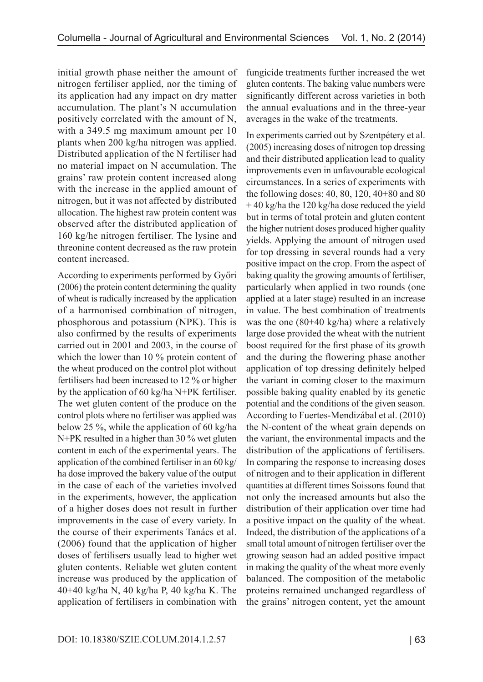initial growth phase neither the amount of nitrogen fertiliser applied, nor the timing of its application had any impact on dry matter accumulation. The plant's N accumulation positively correlated with the amount of N, with a 349.5 mg maximum amount per 10 plants when 200 kg/ha nitrogen was applied. Distributed application of the N fertiliser had no material impact on N accumulation. The grains' raw protein content increased along with the increase in the applied amount of nitrogen, but it was not affected by distributed allocation. The highest raw protein content was observed after the distributed application of 160 kg/he nitrogen fertiliser. The lysine and threonine content decreased as the raw protein content increased.

According to experiments performed by Győri (2006) the protein content determining the quality of wheat is radically increased by the application of a harmonised combination of nitrogen, phosphorous and potassium (NPK). This is also confirmed by the results of experiments carried out in 2001 and 2003, in the course of which the lower than 10 % protein content of the wheat produced on the control plot without fertilisers had been increased to 12 % or higher by the application of 60 kg/ha N+PK fertiliser. The wet gluten content of the produce on the control plots where no fertiliser was applied was below 25 %, while the application of 60 kg/ha N+PK resulted in a higher than 30 % wet gluten content in each of the experimental years. The application of the combined fertiliser in an 60 kg/ ha dose improved the bakery value of the output in the case of each of the varieties involved in the experiments, however, the application of a higher doses does not result in further improvements in the case of every variety. In the course of their experiments Tanács et al. (2006) found that the application of higher doses of fertilisers usually lead to higher wet gluten contents. Reliable wet gluten content increase was produced by the application of 40+40 kg/ha N, 40 kg/ha P, 40 kg/ha K. The application of fertilisers in combination with

fungicide treatments further increased the wet gluten contents. The baking value numbers were significantly different across varieties in both the annual evaluations and in the three-year averages in the wake of the treatments.

In experiments carried out by Szentpétery et al. (2005) increasing doses of nitrogen top dressing and their distributed application lead to quality improvements even in unfavourable ecological circumstances. In a series of experiments with the following doses: 40, 80, 120, 40+80 and 80 + 40 kg/ha the 120 kg/ha dose reduced the yield but in terms of total protein and gluten content the higher nutrient doses produced higher quality yields. Applying the amount of nitrogen used for top dressing in several rounds had a very positive impact on the crop. From the aspect of baking quality the growing amounts of fertiliser, particularly when applied in two rounds (one applied at a later stage) resulted in an increase in value. The best combination of treatments was the one (80+40 kg/ha) where a relatively large dose provided the wheat with the nutrient boost required for the first phase of its growth and the during the flowering phase another application of top dressing definitely helped the variant in coming closer to the maximum possible baking quality enabled by its genetic potential and the conditions of the given season. According to Fuertes-Mendizábal et al. (2010) the N-content of the wheat grain depends on the variant, the environmental impacts and the distribution of the applications of fertilisers. In comparing the response to increasing doses of nitrogen and to their application in different quantities at different times Soissons found that not only the increased amounts but also the distribution of their application over time had a positive impact on the quality of the wheat. Indeed, the distribution of the applications of a small total amount of nitrogen fertiliser over the growing season had an added positive impact in making the quality of the wheat more evenly balanced. The composition of the metabolic proteins remained unchanged regardless of the grains' nitrogen content, yet the amount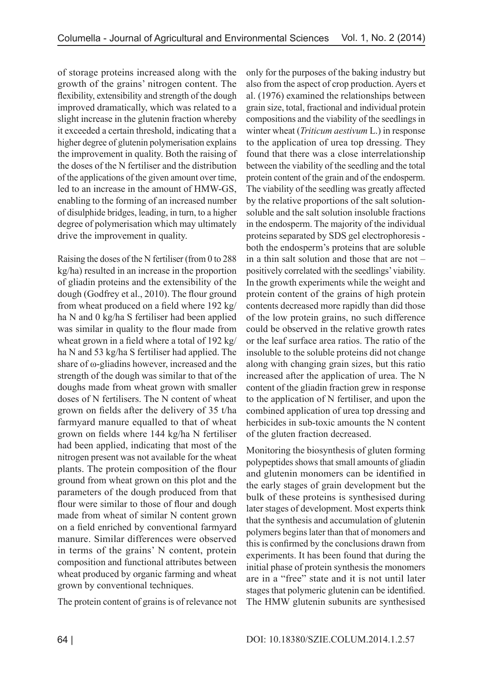of storage proteins increased along with the growth of the grains' nitrogen content. The flexibility, extensibility and strength of the dough improved dramatically, which was related to a slight increase in the glutenin fraction whereby it exceeded a certain threshold, indicating that a higher degree of glutenin polymerisation explains the improvement in quality. Both the raising of the doses of the N fertiliser and the distribution of the applications of the given amount over time, led to an increase in the amount of HMW-GS, enabling to the forming of an increased number of disulphide bridges, leading, in turn, to a higher degree of polymerisation which may ultimately drive the improvement in quality.

Raising the doses of the N fertiliser (from 0 to 288 kg/ha) resulted in an increase in the proportion of gliadin proteins and the extensibility of the dough (Godfrey et al., 2010). The flour ground from wheat produced on a field where 192 kg/ ha N and 0 kg/ha S fertiliser had been applied was similar in quality to the flour made from wheat grown in a field where a total of 192 kg/ ha N and 53 kg/ha S fertiliser had applied. The share of ω-gliadins however, increased and the strength of the dough was similar to that of the doughs made from wheat grown with smaller doses of N fertilisers. The N content of wheat grown on fields after the delivery of 35 t/ha farmyard manure equalled to that of wheat grown on fields where 144 kg/ha N fertiliser had been applied, indicating that most of the nitrogen present was not available for the wheat plants. The protein composition of the flour ground from wheat grown on this plot and the parameters of the dough produced from that flour were similar to those of flour and dough made from wheat of similar N content grown on a field enriched by conventional farmyard manure. Similar differences were observed in terms of the grains' N content, protein composition and functional attributes between wheat produced by organic farming and wheat grown by conventional techniques.

The protein content of grains is of relevance not

only for the purposes of the baking industry but also from the aspect of crop production. Ayers et al. (1976) examined the relationships between grain size, total, fractional and individual protein compositions and the viability of the seedlings in winter wheat (*Triticum aestivum* L.) in response to the application of urea top dressing. They found that there was a close interrelationship between the viability of the seedling and the total protein content of the grain and of the endosperm. The viability of the seedling was greatly affected by the relative proportions of the salt solutionsoluble and the salt solution insoluble fractions in the endosperm. The majority of the individual proteins separated by SDS gel electrophoresis both the endosperm's proteins that are soluble in a thin salt solution and those that are not – positively correlated with the seedlings' viability. In the growth experiments while the weight and protein content of the grains of high protein contents decreased more rapidly than did those of the low protein grains, no such difference could be observed in the relative growth rates or the leaf surface area ratios. The ratio of the insoluble to the soluble proteins did not change along with changing grain sizes, but this ratio increased after the application of urea. The N content of the gliadin fraction grew in response to the application of N fertiliser, and upon the combined application of urea top dressing and herbicides in sub-toxic amounts the N content of the gluten fraction decreased.

Monitoring the biosynthesis of gluten forming polypeptides shows that small amounts of gliadin and glutenin monomers can be identified in the early stages of grain development but the bulk of these proteins is synthesised during later stages of development. Most experts think that the synthesis and accumulation of glutenin polymers begins later than that of monomers and this is confirmed by the conclusions drawn from experiments. It has been found that during the initial phase of protein synthesis the monomers are in a "free" state and it is not until later stages that polymeric glutenin can be identified. The HMW glutenin subunits are synthesised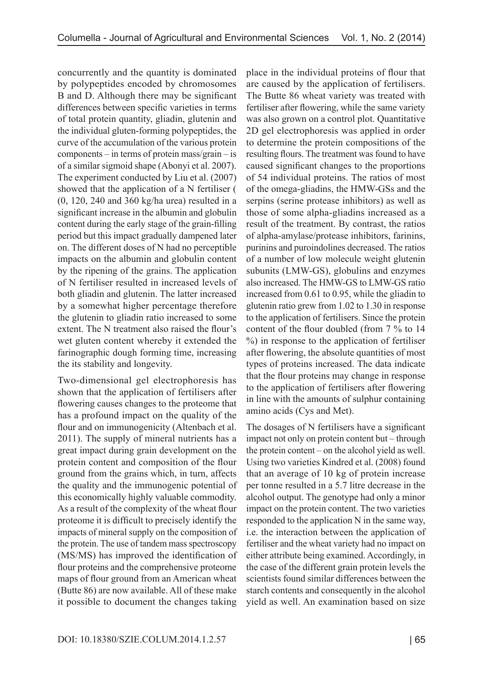concurrently and the quantity is dominated by polypeptides encoded by chromosomes B and D. Although there may be significant differences between specific varieties in terms of total protein quantity, gliadin, glutenin and the individual gluten-forming polypeptides, the curve of the accumulation of the various protein components – in terms of protein mass/grain – is of a similar sigmoid shape (Abonyi et al. 2007). The experiment conducted by Liu et al. (2007) showed that the application of a N fertiliser ( (0, 120, 240 and 360 kg/ha urea) resulted in a significant increase in the albumin and globulin content during the early stage of the grain-filling period but this impact gradually dampened later on. The different doses of N had no perceptible impacts on the albumin and globulin content by the ripening of the grains. The application of N fertiliser resulted in increased levels of both gliadin and glutenin. The latter increased by a somewhat higher percentage therefore the glutenin to gliadin ratio increased to some extent. The N treatment also raised the flour's wet gluten content whereby it extended the farinographic dough forming time, increasing the its stability and longevity.

Two-dimensional gel electrophoresis has shown that the application of fertilisers after flowering causes changes to the proteome that has a profound impact on the quality of the flour and on immunogenicity (Altenbach et al. 2011). The supply of mineral nutrients has a great impact during grain development on the protein content and composition of the flour ground from the grains which, in turn, affects the quality and the immunogenic potential of this economically highly valuable commodity. As a result of the complexity of the wheat flour proteome it is difficult to precisely identify the impacts of mineral supply on the composition of the protein. The use of tandem mass spectroscopy (MS/MS) has improved the identification of flour proteins and the comprehensive proteome maps of flour ground from an American wheat (Butte 86) are now available. All of these make it possible to document the changes taking

place in the individual proteins of flour that are caused by the application of fertilisers. The Butte 86 wheat variety was treated with fertiliser after flowering, while the same variety was also grown on a control plot. Quantitative 2D gel electrophoresis was applied in order to determine the protein compositions of the resulting flours. The treatment was found to have caused significant changes to the proportions of 54 individual proteins. The ratios of most of the omega-gliadins, the HMW-GSs and the serpins (serine protease inhibitors) as well as those of some alpha-gliadins increased as a result of the treatment. By contrast, the ratios of alpha-amylase/protease inhibitors, farinins, purinins and puroindolines decreased. The ratios of a number of low molecule weight glutenin subunits (LMW-GS), globulins and enzymes also increased. The HMW-GS to LMW-GS ratio increased from 0.61 to 0.95, while the gliadin to glutenin ratio grew from 1.02 to 1.30 in response to the application of fertilisers. Since the protein content of the flour doubled (from 7 % to 14 %) in response to the application of fertiliser after flowering, the absolute quantities of most types of proteins increased. The data indicate that the flour proteins may change in response to the application of fertilisers after flowering in line with the amounts of sulphur containing amino acids (Cys and Met).

The dosages of N fertilisers have a significant impact not only on protein content but – through the protein content – on the alcohol yield as well. Using two varieties Kindred et al. (2008) found that an average of 10 kg of protein increase per tonne resulted in a 5.7 litre decrease in the alcohol output. The genotype had only a minor impact on the protein content. The two varieties responded to the application N in the same way, i.e. the interaction between the application of fertiliser and the wheat variety had no impact on either attribute being examined. Accordingly, in the case of the different grain protein levels the scientists found similar differences between the starch contents and consequently in the alcohol yield as well. An examination based on size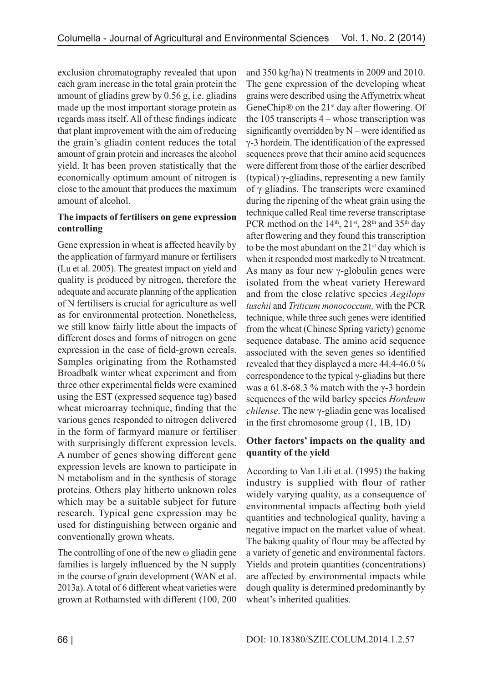exclusion chromatography revealed that upon each gram increase in the total grain protein the amount of gliadins grew by 0.56 g, i.e. gliadins made up the most important storage protein as regards mass itself. All of these findings indicate that plant improvement with the aim of reducing the grain's gliadin content reduces the total amount of grain protein and increases the alcohol yield. It has been proven statistically that the economically optimum amount of nitrogen is close to the amount that produces the maximum amount of alcohol.

### **The impacts of fertilisers on gene expression controlling**

Gene expression in wheat is affected heavily by the application of farmyard manure or fertilisers (Lu et al. 2005). The greatest impact on yield and quality is produced by nitrogen, therefore the adequate and accurate planning of the application of N fertilisers is crucial for agriculture as well as for environmental protection. Nonetheless, we still know fairly little about the impacts of different doses and forms of nitrogen on gene expression in the case of field-grown cereals. Samples originating from the Rothamsted Broadbalk winter wheat experiment and from three other experimental fields were examined using the EST (expressed sequence tag) based wheat microarray technique, finding that the various genes responded to nitrogen delivered in the form of farmyard manure or fertiliser with surprisingly different expression levels. A number of genes showing different gene expression levels are known to participate in N metabolism and in the synthesis of storage proteins. Others play hitherto unknown roles which may be a suitable subject for future research. Typical gene expression may be used for distinguishing between organic and conventionally grown wheats.

The controlling of one of the new  $\omega$  gliadin gene families is largely influenced by the N supply in the course of grain development (WAN et al. 2013a). A total of 6 different wheat varieties were grown at Rothamsted with different (100, 200 and 350 kg/ha) N treatments in 2009 and 2010. The gene expression of the developing wheat grains were described using the Affymetrix wheat GeneChip® on the 21<sup>st</sup> day after flowering. Of the 105 transcripts 4 – whose transcription was significantly overridden by  $N$  – were identified as γ-3 hordein. The identification of the expressed sequences prove that their amino acid sequences were different from those of the earlier described (typical) γ-gliadins, representing a new family of γ gliadins. The transcripts were examined during the ripening of the wheat grain using the technique called Real time reverse transcriptase PCR method on the 14<sup>th</sup>, 21<sup>st</sup>, 28<sup>th</sup> and 35<sup>th</sup> day after flowering and they found this transcription to be the most abundant on the  $21<sup>st</sup>$  day which is when it responded most markedly to N treatment. As many as four new  $\gamma$ -globulin genes were isolated from the wheat variety Hereward and from the close relative species *Aegilops tuschii* and *Triticum monococcum,* with the PCR technique, while three such genes were identified from the wheat (Chinese Spring variety) genome sequence database. The amino acid sequence associated with the seven genes so identified revealed that they displayed a mere 44.4-46.0 % correspondence to the typical γ-gliadins but there was a 61.8-68.3 % match with the  $\gamma$ -3 hordein sequences of the wild barley species *Hordeum chilense*. The new γ-gliadin gene was localised in the first chromosome group (1, 1B, 1D)

## **Other factors' impacts on the quality and quantity of the yield**

According to Van Lili et al. (1995) the baking industry is supplied with flour of rather widely varying quality, as a consequence of environmental impacts affecting both yield quantities and technological quality, having a negative impact on the market value of wheat. The baking quality of flour may be affected by a variety of genetic and environmental factors. Yields and protein quantities (concentrations) are affected by environmental impacts while dough quality is determined predominantly by wheat's inherited qualities.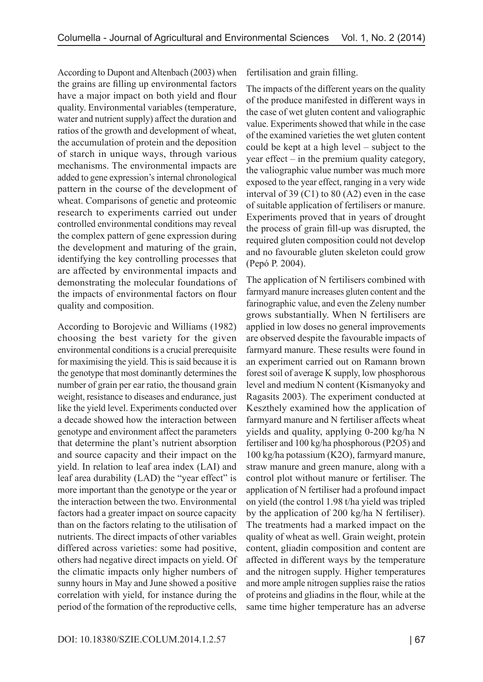According to Dupont and Altenbach (2003) when the grains are filling up environmental factors have a major impact on both yield and flour quality. Environmental variables (temperature, water and nutrient supply) affect the duration and ratios of the growth and development of wheat, the accumulation of protein and the deposition of starch in unique ways, through various mechanisms. The environmental impacts are added to gene expression's internal chronological pattern in the course of the development of wheat. Comparisons of genetic and proteomic research to experiments carried out under controlled environmental conditions may reveal the complex pattern of gene expression during the development and maturing of the grain, identifying the key controlling processes that are affected by environmental impacts and demonstrating the molecular foundations of the impacts of environmental factors on flour quality and composition.

According to Borojevic and Williams (1982) choosing the best variety for the given environmental conditions is a crucial prerequisite for maximising the yield. This is said because it is the genotype that most dominantly determines the number of grain per ear ratio, the thousand grain weight, resistance to diseases and endurance, just like the yield level. Experiments conducted over a decade showed how the interaction between genotype and environment affect the parameters that determine the plant's nutrient absorption and source capacity and their impact on the yield. In relation to leaf area index (LAI) and leaf area durability (LAD) the "year effect" is more important than the genotype or the year or the interaction between the two. Environmental factors had a greater impact on source capacity than on the factors relating to the utilisation of nutrients. The direct impacts of other variables differed across varieties: some had positive, others had negative direct impacts on yield. Of the climatic impacts only higher numbers of sunny hours in May and June showed a positive correlation with yield, for instance during the period of the formation of the reproductive cells,

fertilisation and grain filling.

The impacts of the different years on the quality of the produce manifested in different ways in the case of wet gluten content and valiographic value. Experiments showed that while in the case of the examined varieties the wet gluten content could be kept at a high level – subject to the year effect – in the premium quality category, the valiographic value number was much more exposed to the year effect, ranging in a very wide interval of 39 (C1) to 80 (A2) even in the case of suitable application of fertilisers or manure. Experiments proved that in years of drought the process of grain fill-up was disrupted, the required gluten composition could not develop and no favourable gluten skeleton could grow (Pepó P. 2004).

The application of N fertilisers combined with farmyard manure increases gluten content and the farinographic value, and even the Zeleny number grows substantially. When N fertilisers are applied in low doses no general improvements are observed despite the favourable impacts of farmyard manure. These results were found in an experiment carried out on Ramann brown forest soil of average K supply, low phosphorous level and medium N content (Kismanyoky and Ragasits 2003). The experiment conducted at Keszthely examined how the application of farmyard manure and N fertiliser affects wheat yields and quality, applying 0-200 kg/ha N fertiliser and 100 kg/ha phosphorous (P2O5) and 100 kg/ha potassium (K2O), farmyard manure, straw manure and green manure, along with a control plot without manure or fertiliser. The application of N fertiliser had a profound impact on yield (the control 1.98 t/ha yield was tripled by the application of 200 kg/ha N fertiliser). The treatments had a marked impact on the quality of wheat as well. Grain weight, protein content, gliadin composition and content are affected in different ways by the temperature and the nitrogen supply. Higher temperatures and more ample nitrogen supplies raise the ratios of proteins and gliadins in the flour, while at the same time higher temperature has an adverse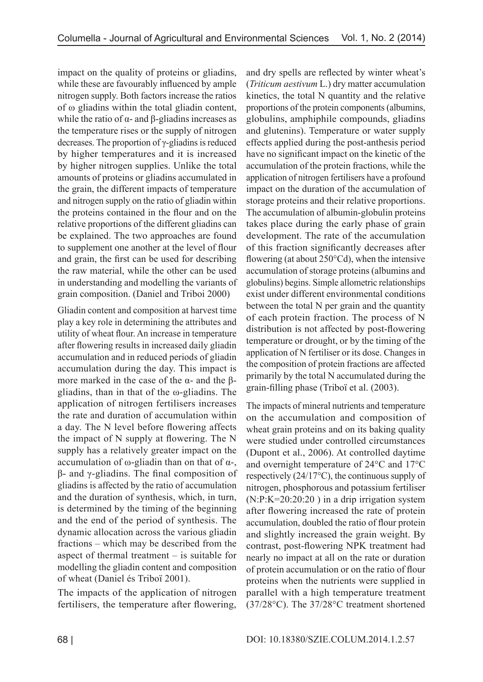impact on the quality of proteins or gliadins, while these are favourably influenced by ample nitrogen supply. Both factors increase the ratios of ω gliadins within the total gliadin content, while the ratio of  $α$ - and  $β$ -gliadins increases as the temperature rises or the supply of nitrogen decreases. The proportion of γ-gliadins is reduced by higher temperatures and it is increased by higher nitrogen supplies. Unlike the total amounts of proteins or gliadins accumulated in the grain, the different impacts of temperature and nitrogen supply on the ratio of gliadin within the proteins contained in the flour and on the relative proportions of the different gliadins can be explained. The two approaches are found to supplement one another at the level of flour and grain, the first can be used for describing the raw material, while the other can be used in understanding and modelling the variants of grain composition. (Daniel and Triboi 2000)

Gliadin content and composition at harvest time play a key role in determining the attributes and utility of wheat flour. An increase in temperature after flowering results in increased daily gliadin accumulation and in reduced periods of gliadin accumulation during the day. This impact is more marked in the case of the α- and the βgliadins, than in that of the ω-gliadins. The application of nitrogen fertilisers increases the rate and duration of accumulation within a day. The N level before flowering affects the impact of N supply at flowering. The N supply has a relatively greater impact on the accumulation of ω-gliadin than on that of α-, β- and γ-gliadins. The final composition of gliadins is affected by the ratio of accumulation and the duration of synthesis, which, in turn, is determined by the timing of the beginning and the end of the period of synthesis. The dynamic allocation across the various gliadin fractions – which may be described from the aspect of thermal treatment – is suitable for modelling the gliadin content and composition of wheat (Daniel és Triboï 2001).

The impacts of the application of nitrogen fertilisers, the temperature after flowering,

and dry spells are reflected by winter wheat's (*Triticum aestivum* L.) dry matter accumulation kinetics, the total N quantity and the relative proportions of the protein components (albumins, globulins, amphiphile compounds, gliadins and glutenins). Temperature or water supply effects applied during the post-anthesis period have no significant impact on the kinetic of the accumulation of the protein fractions, while the application of nitrogen fertilisers have a profound impact on the duration of the accumulation of storage proteins and their relative proportions. The accumulation of albumin-globulin proteins takes place during the early phase of grain development. The rate of the accumulation of this fraction significantly decreases after flowering (at about 250°Cd), when the intensive accumulation of storage proteins (albumins and globulins) begins. Simple allometric relationships exist under different environmental conditions between the total N per grain and the quantity of each protein fraction. The process of N distribution is not affected by post-flowering temperature or drought, or by the timing of the application of N fertiliser or its dose. Changes in the composition of protein fractions are affected primarily by the total N accumulated during the grain-filling phase (Triboï et al. (2003).

The impacts of mineral nutrients and temperature on the accumulation and composition of wheat grain proteins and on its baking quality were studied under controlled circumstances (Dupont et al., 2006). At controlled daytime and overnight temperature of 24°C and 17°C respectively (24/17°C), the continuous supply of nitrogen, phosphorous and potassium fertiliser (N:P:K=20:20:20 ) in a drip irrigation system after flowering increased the rate of protein accumulation, doubled the ratio of flour protein and slightly increased the grain weight. By contrast, post-flowering NPK treatment had nearly no impact at all on the rate or duration of protein accumulation or on the ratio of flour proteins when the nutrients were supplied in parallel with a high temperature treatment (37/28°C). The 37/28°C treatment shortened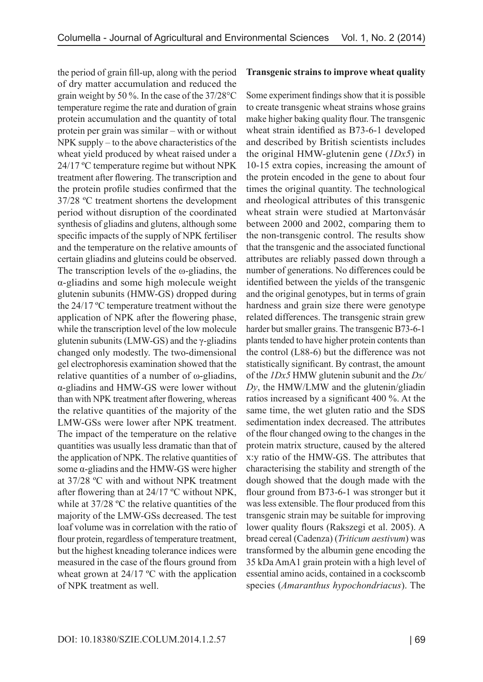the period of grain fill-up, along with the period of dry matter accumulation and reduced the grain weight by 50 %. In the case of the 37/28°C temperature regime the rate and duration of grain protein accumulation and the quantity of total protein per grain was similar – with or without NPK supply – to the above characteristics of the wheat yield produced by wheat raised under a 24/17 ºC temperature regime but without NPK treatment after flowering. The transcription and the protein profile studies confirmed that the 37/28 ºC treatment shortens the development period without disruption of the coordinated synthesis of gliadins and glutens, although some specific impacts of the supply of NPK fertiliser and the temperature on the relative amounts of certain gliadins and gluteins could be observed. The transcription levels of the  $\omega$ -gliadins, the α-gliadins and some high molecule weight glutenin subunits (HMW-GS) dropped during the 24/17 ºC temperature treatment without the application of NPK after the flowering phase, while the transcription level of the low molecule glutenin subunits (LMW-GS) and the γ-gliadins changed only modestly. The two-dimensional gel electrophoresis examination showed that the relative quantities of a number of ω-gliadins, α-gliadins and HMW-GS were lower without than with NPK treatment after flowering, whereas the relative quantities of the majority of the LMW-GSs were lower after NPK treatment. The impact of the temperature on the relative quantities was usually less dramatic than that of the application of NPK. The relative quantities of some α-gliadins and the HMW-GS were higher at 37/28 ºC with and without NPK treatment after flowering than at 24/17 ºC without NPK, while at 37/28 °C the relative quantities of the majority of the LMW-GSs decreased. The test loaf volume was in correlation with the ratio of flour protein, regardless of temperature treatment, but the highest kneading tolerance indices were measured in the case of the flours ground from wheat grown at 24/17 °C with the application of NPK treatment as well.

#### **Transgenic strains to improve wheat quality**

Some experiment findings show that it is possible to create transgenic wheat strains whose grains make higher baking quality flour. The transgenic wheat strain identified as B73-6-1 developed and described by British scientists includes the original HMW-glutenin gene (*1Dx5*) in 10-15 extra copies, increasing the amount of the protein encoded in the gene to about four times the original quantity. The technological and rheological attributes of this transgenic wheat strain were studied at Martonvásár between 2000 and 2002, comparing them to the non-transgenic control. The results show that the transgenic and the associated functional attributes are reliably passed down through a number of generations. No differences could be identified between the yields of the transgenic and the original genotypes, but in terms of grain hardness and grain size there were genotype related differences. The transgenic strain grew harder but smaller grains. The transgenic B73-6-1 plants tended to have higher protein contents than the control (L88-6) but the difference was not statistically significant. By contrast, the amount of the *1Dx5* HMW glutenin subunit and the *Dx/ Dy*, the HMW/LMW and the glutenin/gliadin ratios increased by a significant 400 %. At the same time, the wet gluten ratio and the SDS sedimentation index decreased. The attributes of the flour changed owing to the changes in the protein matrix structure, caused by the altered x:y ratio of the HMW-GS. The attributes that characterising the stability and strength of the dough showed that the dough made with the flour ground from B73-6-1 was stronger but it was less extensible. The flour produced from this transgenic strain may be suitable for improving lower quality flours (Rakszegi et al. 2005). A bread cereal (Cadenza) (*Triticum aestivum*) was transformed by the albumin gene encoding the 35 kDa AmA1 grain protein with a high level of essential amino acids, contained in a cockscomb species (*Amaranthus hypochondriacus*). The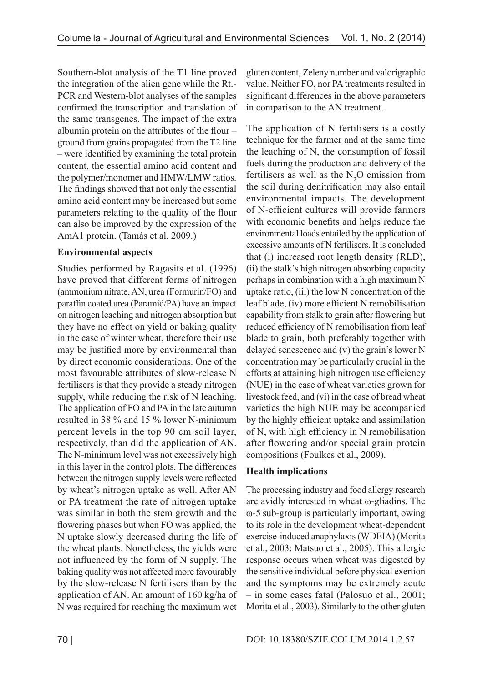Southern-blot analysis of the T1 line proved the integration of the alien gene while the Rt.- PCR and Western-blot analyses of the samples confirmed the transcription and translation of the same transgenes. The impact of the extra albumin protein on the attributes of the flour – ground from grains propagated from the T2 line – were identified by examining the total protein content, the essential amino acid content and the polymer/monomer and HMW/LMW ratios. The findings showed that not only the essential amino acid content may be increased but some parameters relating to the quality of the flour can also be improved by the expression of the AmA1 protein. (Tamás et al. 2009.)

### **Environmental aspects**

Studies performed by Ragasits et al. (1996) have proved that different forms of nitrogen (ammonium nitrate, AN, urea (Formurin/FO) and paraffin coated urea (Paramid/PA) have an impact on nitrogen leaching and nitrogen absorption but they have no effect on yield or baking quality in the case of winter wheat, therefore their use may be justified more by environmental than by direct economic considerations. One of the most favourable attributes of slow-release N fertilisers is that they provide a steady nitrogen supply, while reducing the risk of N leaching. The application of FO and PA in the late autumn resulted in 38 % and 15 % lower N-minimum percent levels in the top 90 cm soil layer, respectively, than did the application of AN. The N-minimum level was not excessively high in this layer in the control plots. The differences between the nitrogen supply levels were reflected by wheat's nitrogen uptake as well. After AN or PA treatment the rate of nitrogen uptake was similar in both the stem growth and the flowering phases but when FO was applied, the N uptake slowly decreased during the life of the wheat plants. Nonetheless, the yields were not influenced by the form of N supply. The baking quality was not affected more favourably by the slow-release N fertilisers than by the application of AN. An amount of 160 kg/ha of N was required for reaching the maximum wet gluten content, Zeleny number and valorigraphic value. Neither FO, nor PA treatments resulted in significant differences in the above parameters in comparison to the AN treatment.

The application of N fertilisers is a costly technique for the farmer and at the same time the leaching of N, the consumption of fossil fuels during the production and delivery of the fertilisers as well as the  $N_2O$  emission from the soil during denitrification may also entail environmental impacts. The development of N-efficient cultures will provide farmers with economic benefits and helps reduce the environmental loads entailed by the application of excessive amounts of N fertilisers. It is concluded that (i) increased root length density (RLD), (ii) the stalk's high nitrogen absorbing capacity perhaps in combination with a high maximum N uptake ratio, (iii) the low N concentration of the leaf blade, (iv) more efficient N remobilisation capability from stalk to grain after flowering but reduced efficiency of N remobilisation from leaf blade to grain, both preferably together with delayed senescence and (v) the grain's lower N concentration may be particularly crucial in the efforts at attaining high nitrogen use efficiency (NUE) in the case of wheat varieties grown for livestock feed, and (vi) in the case of bread wheat varieties the high NUE may be accompanied by the highly efficient uptake and assimilation of N, with high efficiency in N remobilisation after flowering and/or special grain protein compositions (Foulkes et al., 2009).

## **Health implications**

The processing industry and food allergy research are avidly interested in wheat ω-gliadins. The ω-5 sub-group is particularly important, owing to its role in the development wheat-dependent exercise-induced anaphylaxis (WDEIA) (Morita et al., 2003; Matsuo et al., 2005). This allergic response occurs when wheat was digested by the sensitive individual before physical exertion and the symptoms may be extremely acute – in some cases fatal (Palosuo et al., 2001; Morita et al., 2003). Similarly to the other gluten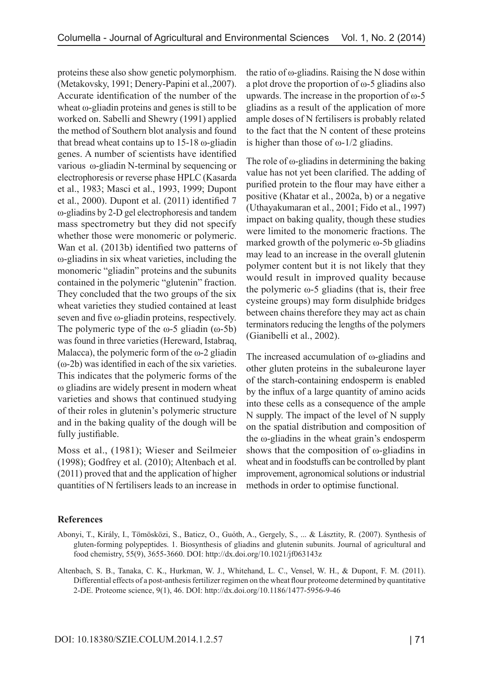proteins these also show genetic polymorphism. (Metakovsky, 1991; Denery-Papini et al.,2007). Accurate identification of the number of the wheat ω-gliadin proteins and genes is still to be worked on. Sabelli and Shewry (1991) applied the method of Southern blot analysis and found that bread wheat contains up to 15-18 ω-gliadin genes. A number of scientists have identified various ω-gliadin N-terminal by sequencing or electrophoresis or reverse phase HPLC (Kasarda et al., 1983; Masci et al., 1993, 1999; Dupont et al., 2000). Dupont et al. (2011) identified 7 ω-gliadins by 2-D gel electrophoresis and tandem mass spectrometry but they did not specify whether those were monomeric or polymeric. Wan et al. (2013b) identified two patterns of ω-gliadins in six wheat varieties, including the monomeric "gliadin" proteins and the subunits contained in the polymeric "glutenin" fraction. They concluded that the two groups of the six wheat varieties they studied contained at least seven and five ω-gliadin proteins, respectively. The polymeric type of the  $\omega$ -5 gliadin ( $\omega$ -5b) was found in three varieties (Hereward, Istabraq, Malacca), the polymeric form of the  $\omega$ -2 gliadin (ω-2b) was identified in each of the six varieties. This indicates that the polymeric forms of the ω gliadins are widely present in modern wheat varieties and shows that continued studying of their roles in glutenin's polymeric structure and in the baking quality of the dough will be fully justifiable.

Moss et al., (1981); Wieser and Seilmeier (1998); Godfrey et al. (2010); Altenbach et al. (2011) proved that and the application of higher quantities of N fertilisers leads to an increase in

the ratio of ω-gliadins. Raising the N dose within a plot drove the proportion of ω-5 gliadins also upwards. The increase in the proportion of ω-5 gliadins as a result of the application of more ample doses of N fertilisers is probably related to the fact that the N content of these proteins is higher than those of  $ω$ -1/2 gliadins.

The role of  $\omega$ -gliadins in determining the baking value has not yet been clarified. The adding of purified protein to the flour may have either a positive (Khatar et al., 2002a, b) or a negative (Uthayakumaran et al., 2001; Fido et al., 1997) impact on baking quality, though these studies were limited to the monomeric fractions. The marked growth of the polymeric ω-5b gliadins may lead to an increase in the overall glutenin polymer content but it is not likely that they would result in improved quality because the polymeric  $ω$ -5 gliadins (that is, their free cysteine groups) may form disulphide bridges between chains therefore they may act as chain terminators reducing the lengths of the polymers (Gianibelli et al., 2002).

The increased accumulation of ω-gliadins and other gluten proteins in the subaleurone layer of the starch-containing endosperm is enabled by the influx of a large quantity of amino acids into these cells as a consequence of the ample N supply. The impact of the level of N supply on the spatial distribution and composition of the ω-gliadins in the wheat grain's endosperm shows that the composition of ω-gliadins in wheat and in foodstuffs can be controlled by plant improvement, agronomical solutions or industrial methods in order to optimise functional.

### **References**

- Abonyi, T., Király, I., Tömösközi, S., Baticz, O., Guóth, A., Gergely, S., ... & Lásztity, R. (2007). Synthesis of gluten-forming polypeptides. 1. Biosynthesis of gliadins and glutenin subunits. Journal of agricultural and food chemistry, 55(9), 3655-3660. DOI: http://dx.doi.org/10.1021/jf063143z
- Altenbach, S. B., Tanaka, C. K., Hurkman, W. J., Whitehand, L. C., Vensel, W. H., & Dupont, F. M. (2011). Differential effects of a post-anthesis fertilizer regimen on the wheat flour proteome determined by quantitative 2-DE. Proteome science, 9(1), 46. DOI: http://dx.doi.org/10.1186/1477-5956-9-46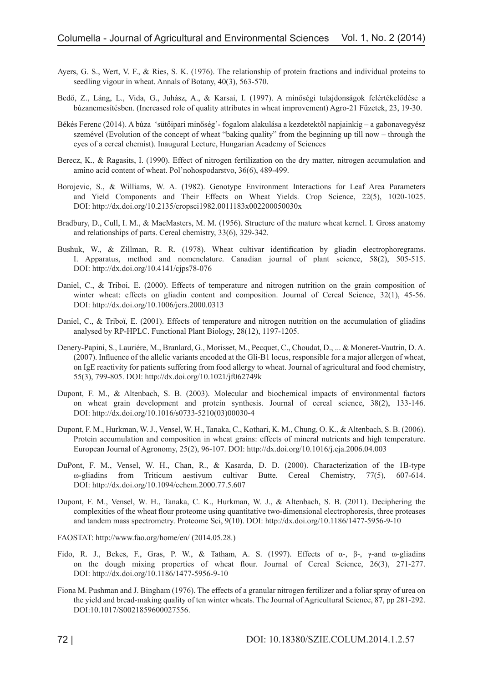- Ayers, G. S., Wert, V. F., & Ries, S. K. (1976). The relationship of protein fractions and individual proteins to seedling vigour in wheat. Annals of Botany, 40(3), 563-570.
- Bedő, Z., Láng, L., Vida, G., Juhász, A., & Karsai, I. (1997). A minőségi tulajdonságok felértékelődése a búzanemesítésben. (Increased role of quality attributes in wheat improvement) Agro-21 Füzetek, 23, 19-30.
- Békés Ferenc (2014). A búza 'sütőipari minőség'- fogalom alakulása a kezdetektől napjainkig a gabonavegyész szemével (Evolution of the concept of wheat "baking quality" from the beginning up till now – through the eyes of a cereal chemist). Inaugural Lecture, Hungarian Academy of Sciences
- Berecz, K., & Ragasits, I. (1990). Effect of nitrogen fertilization on the dry matter, nitrogen accumulation and amino acid content of wheat. Pol'nohospodarstvo, 36(6), 489-499.
- Borojevic, S., & Williams, W. A. (1982). Genotype Environment Interactions for Leaf Area Parameters and Yield Components and Their Effects on Wheat Yields. Crop Science, 22(5), 1020-1025. DOI: http://dx.doi.org/10.2135/cropsci1982.0011183x002200050030x
- Bradbury, D., Cull, I. M., & MacMasters, M. M. (1956). Structure of the mature wheat kernel. I. Gross anatomy and relationships of parts. Cereal chemistry, 33(6), 329-342.
- Bushuk, W., & Zillman, R. R. (1978). Wheat cultivar identification by gliadin electrophoregrams. I. Apparatus, method and nomenclature. Canadian journal of plant science, 58(2), 505-515. DOI: http://dx.doi.org/10.4141/cjps78-076
- Daniel, C., & Triboi, E. (2000). Effects of temperature and nitrogen nutrition on the grain composition of winter wheat: effects on gliadin content and composition. Journal of Cereal Science, 32(1), 45-56. DOI: http://dx.doi.org/10.1006/jcrs.2000.0313
- Daniel, C., & Triboï, E. (2001). Effects of temperature and nitrogen nutrition on the accumulation of gliadins analysed by RP-HPLC. Functional Plant Biology, 28(12), 1197-1205.
- Denery-Papini, S., Lauriére, M., Branlard, G., Morisset, M., Pecquet, C., Choudat, D., ... & Moneret-Vautrin, D. A. (2007). Influence of the allelic variants encoded at the Gli-B1 locus, responsible for a major allergen of wheat, on IgE reactivity for patients suffering from food allergy to wheat. Journal of agricultural and food chemistry, 55(3), 799-805. DOI: http://dx.doi.org/10.1021/jf062749k
- Dupont, F. M., & Altenbach, S. B. (2003). Molecular and biochemical impacts of environmental factors on wheat grain development and protein synthesis. Journal of cereal science, 38(2), 133-146. DOI: http://dx.doi.org/10.1016/s0733-5210(03)00030-4
- Dupont, F. M., Hurkman, W. J., Vensel, W. H., Tanaka, C., Kothari, K. M., Chung, O. K., & Altenbach, S. B. (2006). Protein accumulation and composition in wheat grains: effects of mineral nutrients and high temperature. European Journal of Agronomy, 25(2), 96-107. DOI: http://dx.doi.org/10.1016/j.eja.2006.04.003
- DuPont, F. M., Vensel, W. H., Chan, R., & Kasarda, D. D. (2000). Characterization of the 1B-type ω-gliadins from Triticum aestivum cultivar Butte. Cereal Chemistry, 77(5), 607-614. DOI: http://dx.doi.org/10.1094/cchem.2000.77.5.607
- Dupont, F. M., Vensel, W. H., Tanaka, C. K., Hurkman, W. J., & Altenbach, S. B. (2011). Deciphering the complexities of the wheat flour proteome using quantitative two-dimensional electrophoresis, three proteases and tandem mass spectrometry. Proteome Sci, 9(10). DOI: http://dx.doi.org/10.1186/1477-5956-9-10
- FAOSTAT: http://www.fao.org/home/en/ (2014.05.28.)
- Fido, R. J., Bekes, F., Gras, P. W., & Tatham, A. S. (1997). Effects of  $\alpha$ -,  $\beta$ -,  $\gamma$ -and  $\omega$ -gliadins on the dough mixing properties of wheat flour. Journal of Cereal Science, 26(3), 271-277. DOI: http://dx.doi.org/10.1186/1477-5956-9-10
- Fiona M. Pushman and J. Bingham (1976). The effects of a granular nitrogen fertilizer and a foliar spray of urea on the yield and bread-making quality of ten winter wheats. The Journal of Agricultural Science, 87, pp 281-292. DOI:10.1017/S0021859600027556.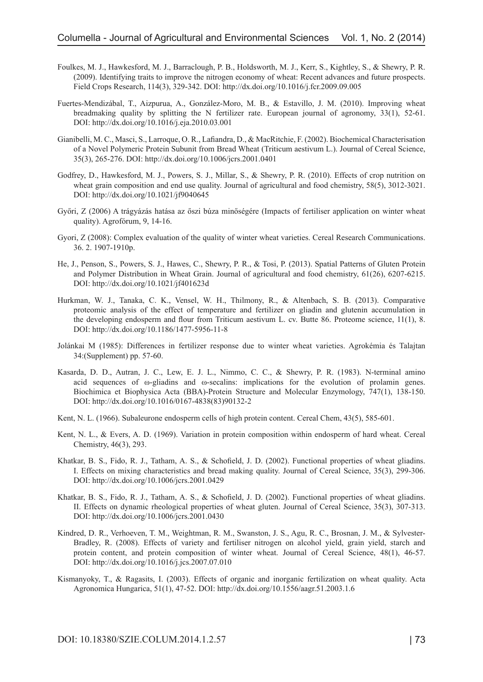- Foulkes, M. J., Hawkesford, M. J., Barraclough, P. B., Holdsworth, M. J., Kerr, S., Kightley, S., & Shewry, P. R. (2009). Identifying traits to improve the nitrogen economy of wheat: Recent advances and future prospects. Field Crops Research, 114(3), 329-342. DOI: http://dx.doi.org/10.1016/j.fcr.2009.09.005
- Fuertes-Mendizábal, T., Aizpurua, A., González-Moro, M. B., & Estavillo, J. M. (2010). Improving wheat breadmaking quality by splitting the N fertilizer rate. European journal of agronomy, 33(1), 52-61. DOI: http://dx.doi.org/10.1016/j.eja.2010.03.001
- Gianibelli, M. C., Masci, S., Larroque, O. R., Lafiandra, D., & MacRitchie, F. (2002). Biochemical Characterisation of a Novel Polymeric Protein Subunit from Bread Wheat (Triticum aestivum L.). Journal of Cereal Science, 35(3), 265-276. DOI: http://dx.doi.org/10.1006/jcrs.2001.0401
- Godfrey, D., Hawkesford, M. J., Powers, S. J., Millar, S., & Shewry, P. R. (2010). Effects of crop nutrition on wheat grain composition and end use quality. Journal of agricultural and food chemistry, 58(5), 3012-3021. DOI: http://dx.doi.org/10.1021/jf9040645
- Győri, Z (2006) A trágyázás hatása az őszi búza minőségére (Impacts of fertiliser application on winter wheat quality). Agrofórum, 9, 14-16.
- Gyori, Z (2008): Complex evaluation of the quality of winter wheat varieties. Cereal Research Communications. 36. 2. 1907-1910p.
- He, J., Penson, S., Powers, S. J., Hawes, C., Shewry, P. R., & Tosi, P. (2013). Spatial Patterns of Gluten Protein and Polymer Distribution in Wheat Grain. Journal of agricultural and food chemistry, 61(26), 6207-6215. DOI: http://dx.doi.org/10.1021/jf401623d
- Hurkman, W. J., Tanaka, C. K., Vensel, W. H., Thilmony, R., & Altenbach, S. B. (2013). Comparative proteomic analysis of the effect of temperature and fertilizer on gliadin and glutenin accumulation in the developing endosperm and flour from Triticum aestivum L. cv. Butte 86. Proteome science, 11(1), 8. DOI: http://dx.doi.org/10.1186/1477-5956-11-8
- Jolánkai M (1985): Differences in fertilizer response due to winter wheat varieties. Agrokémia és Talajtan 34:(Supplement) pp. 57-60.
- Kasarda, D. D., Autran, J. C., Lew, E. J. L., Nimmo, C. C., & Shewry, P. R. (1983). N-terminal amino acid sequences of ω-gliadins and ω-secalins: implications for the evolution of prolamin genes. Biochimica et Biophysica Acta (BBA)-Protein Structure and Molecular Enzymology, 747(1), 138-150. DOI: http://dx.doi.org/10.1016/0167-4838(83)90132-2
- Kent, N. L. (1966). Subaleurone endosperm cells of high protein content. Cereal Chem, 43(5), 585-601.
- Kent, N. L., & Evers, A. D. (1969). Variation in protein composition within endosperm of hard wheat. Cereal Chemistry, 46(3), 293.
- Khatkar, B. S., Fido, R. J., Tatham, A. S., & Schofield, J. D. (2002). Functional properties of wheat gliadins. I. Effects on mixing characteristics and bread making quality. Journal of Cereal Science, 35(3), 299-306. DOI: http://dx.doi.org/10.1006/jcrs.2001.0429
- Khatkar, B. S., Fido, R. J., Tatham, A. S., & Schofield, J. D. (2002). Functional properties of wheat gliadins. II. Effects on dynamic rheological properties of wheat gluten. Journal of Cereal Science, 35(3), 307-313. DOI: http://dx.doi.org/10.1006/jcrs.2001.0430
- Kindred, D. R., Verhoeven, T. M., Weightman, R. M., Swanston, J. S., Agu, R. C., Brosnan, J. M., & Sylvester-Bradley, R. (2008). Effects of variety and fertiliser nitrogen on alcohol yield, grain yield, starch and protein content, and protein composition of winter wheat. Journal of Cereal Science, 48(1), 46-57. DOI: http://dx.doi.org/10.1016/j.jcs.2007.07.010
- Kismanyoky, T., & Ragasits, I. (2003). Effects of organic and inorganic fertilization on wheat quality. Acta Agronomica Hungarica, 51(1), 47-52. DOI: http://dx.doi.org/10.1556/aagr.51.2003.1.6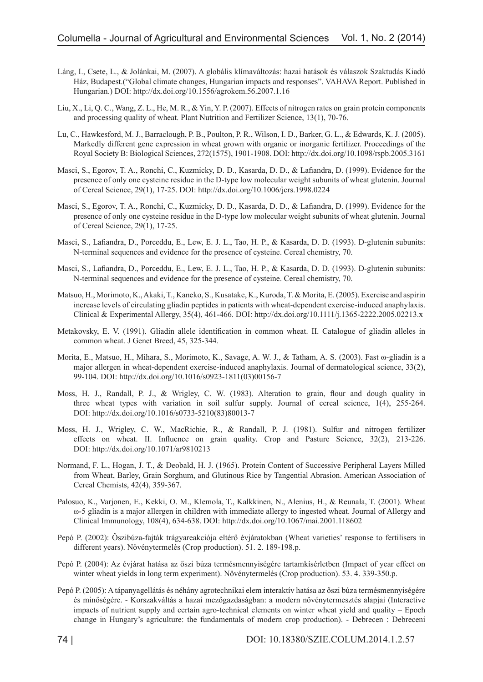- Láng, I., Csete, L., & Jolánkai, M. (2007). A globális klímaváltozás: hazai hatások és válaszok Szaktudás Kiadó Ház, Budapest.("Global climate changes, Hungarian impacts and responses". VAHAVA Report. Published in Hungarian.) DOI: http://dx.doi.org/10.1556/agrokem.56.2007.1.16
- Liu, X., Li, Q. C., Wang, Z. L., He, M. R., & Yin, Y. P. (2007). Effects of nitrogen rates on grain protein components and processing quality of wheat. Plant Nutrition and Fertilizer Science, 13(1), 70-76.
- Lu, C., Hawkesford, M. J., Barraclough, P. B., Poulton, P. R., Wilson, I. D., Barker, G. L., & Edwards, K. J. (2005). Markedly different gene expression in wheat grown with organic or inorganic fertilizer. Proceedings of the Royal Society B: Biological Sciences, 272(1575), 1901-1908. DOI: http://dx.doi.org/10.1098/rspb.2005.3161
- Masci, S., Egorov, T. A., Ronchi, C., Kuzmicky, D. D., Kasarda, D. D., & Lafiandra, D. (1999). Evidence for the presence of only one cysteine residue in the D-type low molecular weight subunits of wheat glutenin. Journal of Cereal Science, 29(1), 17-25. DOI: http://dx.doi.org/10.1006/jcrs.1998.0224
- Masci, S., Egorov, T. A., Ronchi, C., Kuzmicky, D. D., Kasarda, D. D., & Lafiandra, D. (1999). Evidence for the presence of only one cysteine residue in the D-type low molecular weight subunits of wheat glutenin. Journal of Cereal Science, 29(1), 17-25.
- Masci, S., Lafiandra, D., Porceddu, E., Lew, E. J. L., Tao, H. P., & Kasarda, D. D. (1993). D-glutenin subunits: N-terminal sequences and evidence for the presence of cysteine. Cereal chemistry, 70.
- Masci, S., Lafiandra, D., Porceddu, E., Lew, E. J. L., Tao, H. P., & Kasarda, D. D. (1993). D-glutenin subunits: N-terminal sequences and evidence for the presence of cysteine. Cereal chemistry, 70.
- Matsuo, H., Morimoto, K., Akaki, T., Kaneko, S., Kusatake, K., Kuroda, T. & Morita, E. (2005). Exercise and aspirin increase levels of circulating gliadin peptides in patients with wheat-dependent exercise-induced anaphylaxis. Clinical & Experimental Allergy, 35(4), 461-466. DOI: http://dx.doi.org/10.1111/j.1365-2222.2005.02213.x
- Metakovsky, E. V. (1991). Gliadin allele identification in common wheat. II. Catalogue of gliadin alleles in common wheat. J Genet Breed, 45, 325-344.
- Morita, E., Matsuo, H., Mihara, S., Morimoto, K., Savage, A. W. J., & Tatham, A. S. (2003). Fast ω-gliadin is a major allergen in wheat-dependent exercise-induced anaphylaxis. Journal of dermatological science, 33(2), 99-104. DOI: http://dx.doi.org/10.1016/s0923-1811(03)00156-7
- Moss, H. J., Randall, P. J., & Wrigley, C. W. (1983). Alteration to grain, flour and dough quality in three wheat types with variation in soil sulfur supply. Journal of cereal science, 1(4), 255-264. DOI: http://dx.doi.org/10.1016/s0733-5210(83)80013-7
- Moss, H. J., Wrigley, C. W., MacRichie, R., & Randall, P. J. (1981). Sulfur and nitrogen fertilizer effects on wheat. II. Influence on grain quality. Crop and Pasture Science, 32(2), 213-226. DOI: http://dx.doi.org/10.1071/ar9810213
- Normand, F. L., Hogan, J. T., & Deobald, H. J. (1965). Protein Content of Successive Peripheral Layers Milled from Wheat, Barley, Grain Sorghum, and Glutinous Rice by Tangential Abrasion. American Association of Cereal Chemists, 42(4), 359-367.
- Palosuo, K., Varjonen, E., Kekki, O. M., Klemola, T., Kalkkinen, N., Alenius, H., & Reunala, T. (2001). Wheat ω-5 gliadin is a major allergen in children with immediate allergy to ingested wheat. Journal of Allergy and Clinical Immunology, 108(4), 634-638. DOI: http://dx.doi.org/10.1067/mai.2001.118602
- Pepó P. (2002): Őszibúza-fajták trágyareakciója eltérő évjáratokban (Wheat varieties' response to fertilisers in different years). Növénytermelés (Crop production). 51. 2. 189-198.p.
- Pepó P. (2004): Az évjárat hatása az őszi búza termésmennyiségére tartamkísérletben (Impact of year effect on winter wheat yields in long term experiment). Növénytermelés (Crop production). 53. 4. 339-350.p.
- Pepó P. (2005): A tápanyagellátás és néhány agrotechnikai elem interaktív hatása az őszi búza termésmennyiségére és minőségére. - Korszakváltás a hazai mezőgazdaságban: a modern növénytermesztés alapjai (Interactive impacts of nutrient supply and certain agro-technical elements on winter wheat yield and quality – Epoch change in Hungary's agriculture: the fundamentals of modern crop production). - Debrecen : Debreceni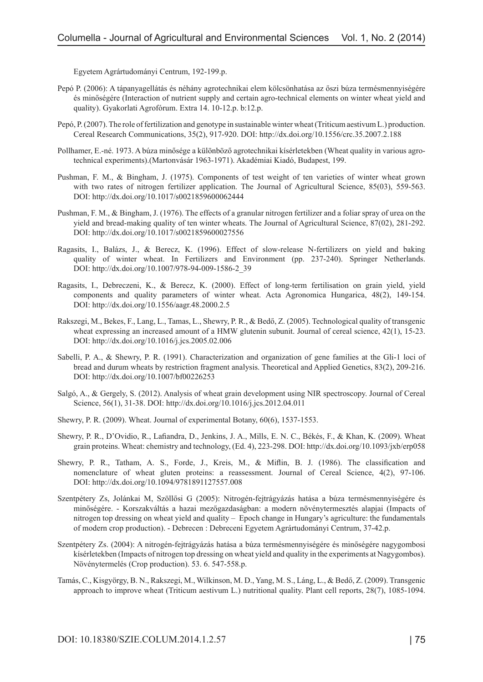Egyetem Agrártudományi Centrum, 192-199.p.

- Pepó P. (2006): A tápanyagellátás és néhány agrotechnikai elem kölcsönhatása az őszi búza termésmennyiségére és minőségére (Interaction of nutrient supply and certain agro-technical elements on winter wheat yield and quality). Gyakorlati Agrofórum. Extra 14. 10-12.p. b:12.p.
- Pepó, P. (2007). The role of fertilization and genotype in sustainable winter wheat (Triticum aestivum L.) production. Cereal Research Communications, 35(2), 917-920. DOI: http://dx.doi.org/10.1556/crc.35.2007.2.188
- Pollhamer, E.-né. 1973. A búza minősége a különböző agrotechnikai kísérletekben (Wheat quality in various agrotechnical experiments).(Martonvásár 1963-1971). Akadémiai Kiadó, Budapest, 199.
- Pushman, F. M., & Bingham, J. (1975). Components of test weight of ten varieties of winter wheat grown with two rates of nitrogen fertilizer application. The Journal of Agricultural Science, 85(03), 559-563. DOI: http://dx.doi.org/10.1017/s0021859600062444
- Pushman, F. M., & Bingham, J. (1976). The effects of a granular nitrogen fertilizer and a foliar spray of urea on the yield and bread-making quality of ten winter wheats. The Journal of Agricultural Science, 87(02), 281-292. DOI: http://dx.doi.org/10.1017/s0021859600027556
- Ragasits, I., Balázs, J., & Berecz, K. (1996). Effect of slow-release N-fertilizers on yield and baking quality of winter wheat. In Fertilizers and Environment (pp. 237-240). Springer Netherlands. DOI: http://dx.doi.org/10.1007/978-94-009-1586-2\_39
- Ragasits, I., Debreczeni, K., & Berecz, K. (2000). Effect of long-term fertilisation on grain yield, yield components and quality parameters of winter wheat. Acta Agronomica Hungarica, 48(2), 149-154. DOI: http://dx.doi.org/10.1556/aagr.48.2000.2.5
- Rakszegi, M., Bekes, F., Lang, L., Tamas, L., Shewry, P. R., & Bedő, Z. (2005). Technological quality of transgenic wheat expressing an increased amount of a HMW glutenin subunit. Journal of cereal science, 42(1), 15-23. DOI: http://dx.doi.org/10.1016/j.jcs.2005.02.006
- Sabelli, P. A., & Shewry, P. R. (1991). Characterization and organization of gene families at the Gli-1 loci of bread and durum wheats by restriction fragment analysis. Theoretical and Applied Genetics, 83(2), 209-216. DOI: http://dx.doi.org/10.1007/bf00226253
- Salgó, A., & Gergely, S. (2012). Analysis of wheat grain development using NIR spectroscopy. Journal of Cereal Science, 56(1), 31-38. DOI: http://dx.doi.org/10.1016/j.jcs.2012.04.011
- Shewry, P. R. (2009). Wheat. Journal of experimental Botany, 60(6), 1537-1553.
- Shewry, P. R., D'Ovidio, R., Lafiandra, D., Jenkins, J. A., Mills, E. N. C., Békés, F., & Khan, K. (2009). Wheat grain proteins. Wheat: chemistry and technology, (Ed. 4), 223-298. DOI: http://dx.doi.org/10.1093/jxb/erp058
- Shewry, P. R., Tatham, A. S., Forde, J., Kreis, M., & Miflin, B. J. (1986). The classification and nomenclature of wheat gluten proteins: a reassessment. Journal of Cereal Science, 4(2), 97-106. DOI: http://dx.doi.org/10.1094/9781891127557.008
- Szentpétery Zs, Jolánkai M, Szöllősi G (2005): Nitrogén-fejtrágyázás hatása a búza termésmennyiségére és minőségére. - Korszakváltás a hazai mezőgazdaságban: a modern növénytermesztés alapjai (Impacts of nitrogen top dressing on wheat yield and quality – Epoch change in Hungary's agriculture: the fundamentals of modern crop production). - Debrecen : Debreceni Egyetem Agrártudományi Centrum, 37-42.p.
- Szentpétery Zs. (2004): A nitrogén-fejtrágyázás hatása a búza termésmennyiségére és minőségére nagygombosi kísérletekben (Impacts of nitrogen top dressing on wheat yield and quality in the experiments at Nagygombos). Növénytermelés (Crop production). 53. 6. 547-558.p.
- Tamás, C., Kisgyörgy, B. N., Rakszegi, M., Wilkinson, M. D., Yang, M. S., Láng, L., & Bedő, Z. (2009). Transgenic approach to improve wheat (Triticum aestivum L.) nutritional quality. Plant cell reports, 28(7), 1085-1094.